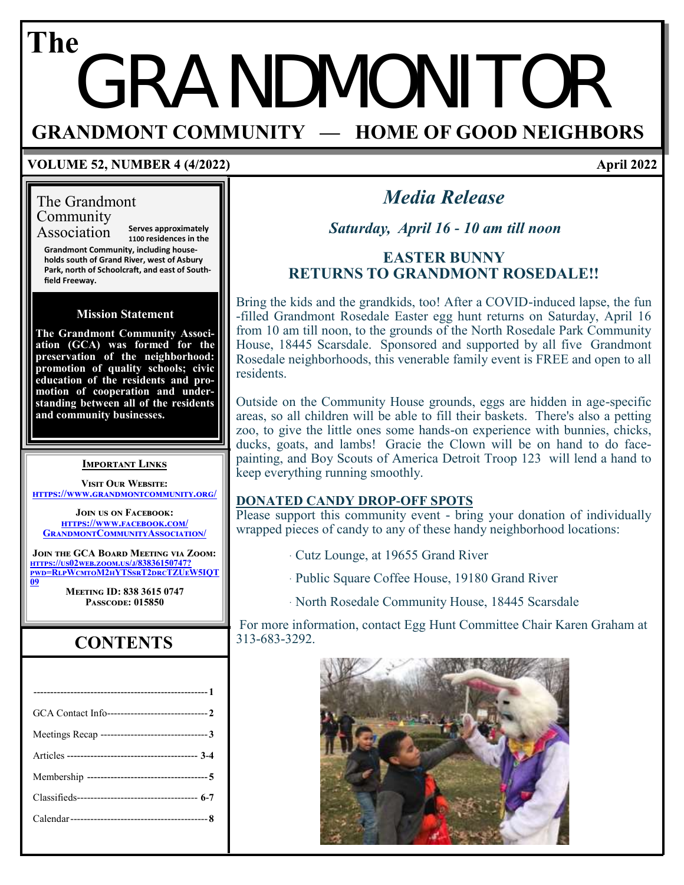## GRANDMONITOR **GRANDMONT COMMUNITY — HOME OF GOOD NEIGHBORS The**

#### **VOLUME 52, NUMBER 4 (4/2022)**

## The Grandmont Community

Association **Serves approximately 1100 residences in the**

**Grandmont Community, including households south of Grand River, west of Asbury Park, north of Schoolcraft, and east of Southfield Freeway.**

#### **Mission Statement**

**The Grandmont Community Association (GCA) was formed for the preservation of the neighborhood: promotion of quality schools; civic education of the residents and promotion of cooperation and understanding between all of the residents and community businesses.**

#### **Important Links**

**Visit Our Website: <https://www.grandmontcommunity.org/>**

**Join us on Facebook: [https://www.facebook.com/](https://www.facebook.com/GrandmontCommunityAssociation/) [GrandmontCommunityAssociation/](https://www.facebook.com/GrandmontCommunityAssociation/)**

**Join the GCA Board Meeting via Zoom: [https://us02web.zoom.us/j/83836150747?](https://us02web.zoom.us/j/83836150747?pwd=RlpWcmtoM2hYTSsrT2drcTZUeW5IQT09) [pwd=RlpWcmtoM2hYTSsrT2drcTZUeW5IQT](https://us02web.zoom.us/j/83836150747?pwd=RlpWcmtoM2hYTSsrT2drcTZUeW5IQT09) [09](https://us02web.zoom.us/j/83836150747?pwd=RlpWcmtoM2hYTSsrT2drcTZUeW5IQT09)**

**Meeting ID: 838 3615 0747 Passcode: 015850**

## **CONTENTS**

## *Media Release*

*Saturday, April 16 - 10 am till noon*

### **EASTER BUNNY RETURNS TO GRANDMONT ROSEDALE!!**

Bring the kids and the grandkids, too! After a COVID-induced lapse, the fun -filled Grandmont Rosedale Easter egg hunt returns on Saturday, April 16 from 10 am till noon, to the grounds of the North Rosedale Park Community House, 18445 Scarsdale. Sponsored and supported by all five Grandmont Rosedale neighborhoods, this venerable family event is FREE and open to all residents.

Outside on the Community House grounds, eggs are hidden in age-specific areas, so all children will be able to fill their baskets. There's also a petting zoo, to give the little ones some hands-on experience with bunnies, chicks, ducks, goats, and lambs! Gracie the Clown will be on hand to do facepainting, and Boy Scouts of America Detroit Troop 123 will lend a hand to keep everything running smoothly.

#### **DONATED CANDY DROP-OFF SPOTS**

Please support this community event - bring your donation of individually wrapped pieces of candy to any of these handy neighborhood locations:

- · Cutz Lounge, at 19655 Grand River
- · Public Square Coffee House, 19180 Grand River
- · North Rosedale Community House, 18445 Scarsdale

For more information, contact Egg Hunt Committee Chair Karen Graham at 313-683-3292.



April 2022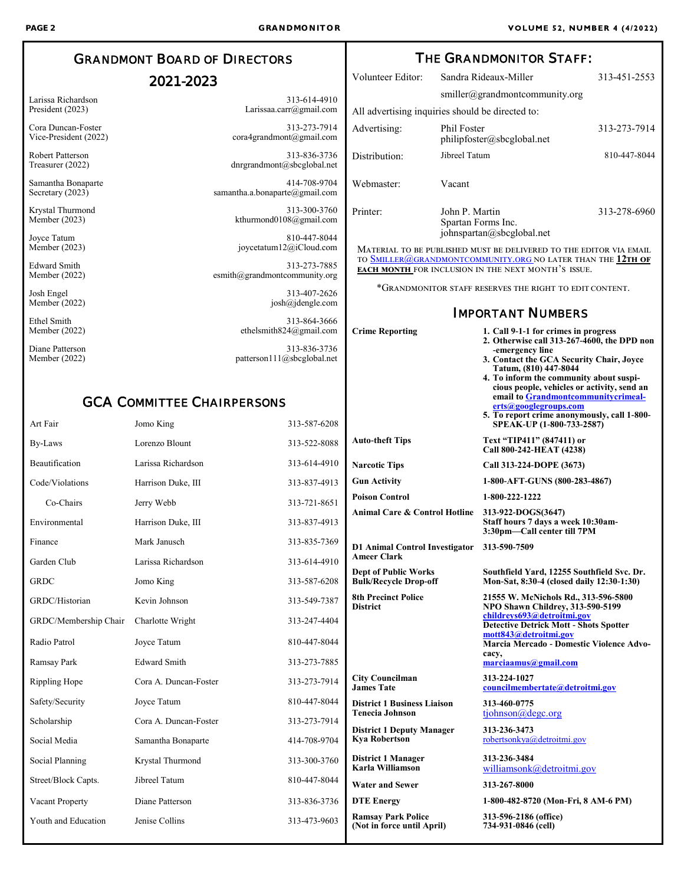## GRANDMONT BOARD OF DIRECTORS

### 2021-2023

Larissa Richardson President (2023)

Cora Duncan-Foster Vice-President (2022)

Robert Patterson Treasurer (2022)

Samantha Bonaparte Secretary (2023)

Krystal Thurmond Member (2023)

Joyce Tatum Member (2023)

Edward Smith Member (2022)

Josh Engel Member (2022)

Ethel Smith Member (2022)

Diane Patterson Member (2022)

313-614-4910 Larissaa.carr@gmail.com

313-273-7914 cora4grandmont@gmail.com

313-836-3736 dnrgrandmont@sbcglobal.net

414-708-9704 samantha.a.bonaparte@gmail.com

> 313-300-3760 [kthurmond0108@gmail.com](mailto:kthurmond0108@gmail.com)

810-447-8044 joycetatum12@iCloud.com

313-273-7885 [esmith@grandmontcommunity.org](mailto:esmith@grandmontcommunity.org)

> 313-407-2626 [josh@jdengle.com](mailto:josh@jdengle.com)

> > 313-864-3666

ethelsmith824@gmail.com 313-836-3736 patterson111@sbcglobal.net

#### GCA COMMITTEE CHAIRPERSONS

| Art Fair              | Jomo King             | 313-587-6208 |                                                              | 5. To report crime anonymously, call 1-800-<br>SPEAK-UP (1-800-733-2587)                |
|-----------------------|-----------------------|--------------|--------------------------------------------------------------|-----------------------------------------------------------------------------------------|
| By-Laws               | Lorenzo Blount        | 313-522-8088 | <b>Auto-theft Tips</b>                                       | Text "TIP411" (847411) or<br>Call 800-242-HEAT (4238)                                   |
| Beautification        | Larissa Richardson    | 313-614-4910 | <b>Narcotic Tips</b>                                         | Call 313-224-DOPE (3673)                                                                |
| Code/Violations       | Harrison Duke, III    | 313-837-4913 | <b>Gun Activity</b>                                          | 1-800-AFT-GUNS (800-283-4867)                                                           |
| Co-Chairs             | Jerry Webb            | 313-721-8651 | <b>Poison Control</b>                                        | 1-800-222-1222                                                                          |
| Environmental         | Harrison Duke, III    | 313-837-4913 | <b>Animal Care &amp; Control Hotline</b>                     | 313-922-DOGS(3647)<br>Staff hours 7 days a week 10:30am-<br>3:30pm-Call center till 7PM |
| Finance               | Mark Janusch          | 313-835-7369 | <b>D1 Animal Control Investigator</b>                        | 313-590-7509                                                                            |
| Garden Club           | Larissa Richardson    | 313-614-4910 | <b>Ameer Clark</b>                                           |                                                                                         |
| <b>GRDC</b>           | Jomo King             | 313-587-6208 | <b>Dept of Public Works</b><br><b>Bulk/Recycle Drop-off</b>  | Southfield Yard, 12255 Southfield Svc. Dr.<br>Mon-Sat, 8:30-4 (closed daily 12:30-1:30) |
| GRDC/Historian        | Kevin Johnson         | 313-549-7387 | <b>8th Precinct Police</b><br><b>District</b>                | 21555 W. McNichols Rd., 313-596-5800<br>NPO Shawn Childrey, 313-590-5199                |
| GRDC/Membership Chair | Charlotte Wright      | 313-247-4404 |                                                              | childreys693@detroitmi.gov<br><b>Detective Detrick Mott - Shots Spotter</b>             |
| Radio Patrol          | Joyce Tatum           | 810-447-8044 |                                                              | mott843@detroitmi.gov<br>Marcia Mercado - Domestic Violence Advo-<br>cacy,              |
| Ramsay Park           | <b>Edward Smith</b>   | 313-273-7885 |                                                              | marciaamus@gmail.com                                                                    |
| Rippling Hope         | Cora A. Duncan-Foster | 313-273-7914 | <b>City Councilman</b><br><b>James Tate</b>                  | 313-224-1027<br>councilmembertate@detroitmi.gov                                         |
| Safety/Security       | Joyce Tatum           | 810-447-8044 | <b>District 1 Business Liaison</b><br><b>Tenecia Johnson</b> | 313-460-0775                                                                            |
| Scholarship           | Cora A. Duncan-Foster | 313-273-7914 |                                                              | tiohnson@degc.org                                                                       |
| Social Media          | Samantha Bonaparte    | 414-708-9704 | <b>District 1 Deputy Manager</b><br><b>Kya Robertson</b>     | 313-236-3473<br>robertsonkya@detroitmi.gov                                              |
| Social Planning       | Krystal Thurmond      | 313-300-3760 | <b>District 1 Manager</b><br>Karla Williamson                | 313-236-3484<br>williamsonk@detroitmi.gov                                               |
| Street/Block Capts.   | Jibreel Tatum         | 810-447-8044 | <b>Water and Sewer</b>                                       | 313-267-8000                                                                            |
| Vacant Property       | Diane Patterson       | 313-836-3736 | <b>DTE</b> Energy                                            | 1-800-482-8720 (Mon-Fri, 8 AM-6 PM)                                                     |
| Youth and Education   | Jenise Collins        | 313-473-9603 | <b>Ramsay Park Police</b><br>(Not in force until April)      | 313-596-2186 (office)<br>734-931-0846 (cell)                                            |

THE GRANDMONITOR STAFF: Volunteer Editor: Sandra Rideaux-Miller 313-451-2553 smiller@grandmontcommunity.org All advertising inquiries should be directed to: Advertising: Phil Foster philipfoster@sbcglobal.net 313-273-7914 Distribution: Jibreel Tatum 810-447-8044 Webmaster: Vacant Printer: John P. Martin Spartan Forms Inc. johnspartan@sbcglobal.net 313-278-6960 Material to be published must be delivered to the editor via email to [Smiller@grandmontcommunity.org n](mailto:smiller@grandmontcommunity.org)o later than the **12th of each month** for inclusion in the next month's issue.

\*Grandmonitor staff reserves the right to edit content.

**Crime Reporting 1. Call 9-1-1 for crimes in progress**

#### IMPORTANT NUMBERS

**-emergency line**

**Tatum, (810) 447-8044**

**[erts@googlegroups.com](mailto:Grandmontcommunitycrimealerts@googlegroups.com)**

**2. Otherwise call 313-267-4600, the DPD non**

**3. Contact the GCA Security Chair, Joyce** 

**4. To inform the community about suspicious people, vehicles or activity, send an email to [Grandmontcommunitycrimeal-](mailto:Grandmontcommunitycrimealerts@googlegroups.com)**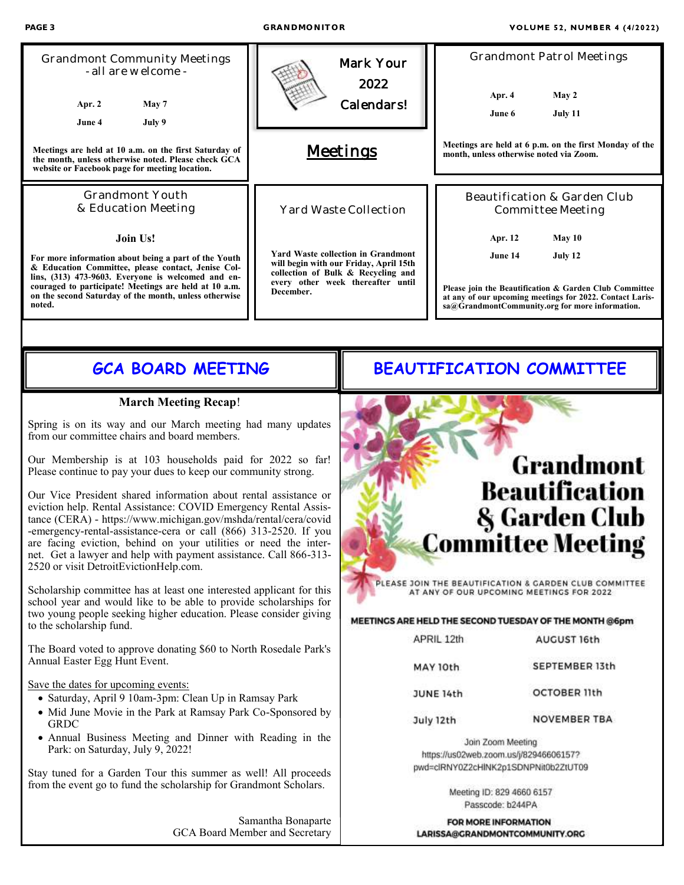| PAGE 3                                                                                                                                                                                                                                                                                                                                                                                                                                                                                                                                                                                                                                                                                                                                                                                                                                                                                                                                                                                                                                                                                                                                                                                                                                                                                                                                                                                                                                                                                                              | GRANDMONITOR                                                                                                                                                                |                                 | <b>VOLUME 52, NUMBER 4 (4/2022)</b>                                                                                                                                                                                                                         |                                                                                                                                                                                                                                                                                    |  |  |
|---------------------------------------------------------------------------------------------------------------------------------------------------------------------------------------------------------------------------------------------------------------------------------------------------------------------------------------------------------------------------------------------------------------------------------------------------------------------------------------------------------------------------------------------------------------------------------------------------------------------------------------------------------------------------------------------------------------------------------------------------------------------------------------------------------------------------------------------------------------------------------------------------------------------------------------------------------------------------------------------------------------------------------------------------------------------------------------------------------------------------------------------------------------------------------------------------------------------------------------------------------------------------------------------------------------------------------------------------------------------------------------------------------------------------------------------------------------------------------------------------------------------|-----------------------------------------------------------------------------------------------------------------------------------------------------------------------------|---------------------------------|-------------------------------------------------------------------------------------------------------------------------------------------------------------------------------------------------------------------------------------------------------------|------------------------------------------------------------------------------------------------------------------------------------------------------------------------------------------------------------------------------------------------------------------------------------|--|--|
| <b>Grandmont Community Meetings</b><br>- all are welcome -<br>Apr. 2<br>May 7<br>July 9<br>June 4                                                                                                                                                                                                                                                                                                                                                                                                                                                                                                                                                                                                                                                                                                                                                                                                                                                                                                                                                                                                                                                                                                                                                                                                                                                                                                                                                                                                                   |                                                                                                                                                                             | Mark Your<br>2022<br>Calendars! | Apr. 4<br>June 6                                                                                                                                                                                                                                            | <b>Grandmont Patrol Meetings</b><br>May 2<br>July 11                                                                                                                                                                                                                               |  |  |
| Meetings are held at 10 a.m. on the first Saturday of<br>the month, unless otherwise noted. Please check GCA<br>website or Facebook page for meeting location.                                                                                                                                                                                                                                                                                                                                                                                                                                                                                                                                                                                                                                                                                                                                                                                                                                                                                                                                                                                                                                                                                                                                                                                                                                                                                                                                                      |                                                                                                                                                                             | <b>Meetings</b>                 |                                                                                                                                                                                                                                                             | Meetings are held at 6 p.m. on the first Monday of the<br>month, unless otherwise noted via Zoom.                                                                                                                                                                                  |  |  |
| Grandmont Youth<br>& Education Meeting                                                                                                                                                                                                                                                                                                                                                                                                                                                                                                                                                                                                                                                                                                                                                                                                                                                                                                                                                                                                                                                                                                                                                                                                                                                                                                                                                                                                                                                                              |                                                                                                                                                                             | Yard Waste Collection           |                                                                                                                                                                                                                                                             | Beautification & Garden Club<br>Committee Meeting                                                                                                                                                                                                                                  |  |  |
| <b>Join Us!</b><br>For more information about being a part of the Youth<br>& Education Committee, please contact, Jenise Col-<br>lins, (313) 473-9603. Everyone is welcomed and en-<br>couraged to participate! Meetings are held at 10 a.m.<br>on the second Saturday of the month, unless otherwise<br>noted.                                                                                                                                                                                                                                                                                                                                                                                                                                                                                                                                                                                                                                                                                                                                                                                                                                                                                                                                                                                                                                                                                                                                                                                                     | <b>Yard Waste collection in Grandmont</b><br>will begin with our Friday, April 15th<br>collection of Bulk & Recycling and<br>every other week thereafter until<br>December. |                                 | Apr. 12<br>June 14                                                                                                                                                                                                                                          | May 10<br>July 12<br>Please join the Beautification & Garden Club Committee<br>at any of our upcoming meetings for 2022. Contact Laris-<br>sa@GrandmontCommunity.org for more information.                                                                                         |  |  |
|                                                                                                                                                                                                                                                                                                                                                                                                                                                                                                                                                                                                                                                                                                                                                                                                                                                                                                                                                                                                                                                                                                                                                                                                                                                                                                                                                                                                                                                                                                                     |                                                                                                                                                                             |                                 |                                                                                                                                                                                                                                                             |                                                                                                                                                                                                                                                                                    |  |  |
| <b>GCA BOARD MEETING</b>                                                                                                                                                                                                                                                                                                                                                                                                                                                                                                                                                                                                                                                                                                                                                                                                                                                                                                                                                                                                                                                                                                                                                                                                                                                                                                                                                                                                                                                                                            |                                                                                                                                                                             |                                 | <b>BEAUTIFICATION COMMITTEE</b>                                                                                                                                                                                                                             |                                                                                                                                                                                                                                                                                    |  |  |
| <b>March Meeting Recap!</b><br>Spring is on its way and our March meeting had many updates<br>from our committee chairs and board members.<br>Our Membership is at 103 households paid for 2022 so far!<br>Please continue to pay your dues to keep our community strong.<br>Our Vice President shared information about rental assistance or<br>eviction help. Rental Assistance: COVID Emergency Rental Assis-<br>tance (CERA) - https://www.michigan.gov/mshda/rental/cera/covid<br>-emergency-rental-assistance-cera or call (866) 313-2520. If you<br>are facing eviction, behind on your utilities or need the inter-<br>net. Get a lawyer and help with payment assistance. Call 866-313-<br>2520 or visit DetroitEvictionHelp.com.<br>Scholarship committee has at least one interested applicant for this<br>school year and would like to be able to provide scholarships for<br>two young people seeking higher education. Please consider giving<br>to the scholarship fund.<br>The Board voted to approve donating \$60 to North Rosedale Park's<br>Annual Easter Egg Hunt Event.<br>Save the dates for upcoming events:<br>· Saturday, April 9 10am-3pm: Clean Up in Ramsay Park<br>• Mid June Movie in the Park at Ramsay Park Co-Sponsored by<br><b>GRDC</b><br>• Annual Business Meeting and Dinner with Reading in the<br>Park: on Saturday, July 9, 2022!<br>Stay tuned for a Garden Tour this summer as well! All proceeds<br>from the event go to fund the scholarship for Grandmont Scholars. |                                                                                                                                                                             |                                 | AT ANY OF OUR UPCOMING MEETINGS FOR 2022<br>APRIL 12th<br>MAY 10th<br><b>JUNE 14th</b><br>July 12th<br>Join Zoom Meeting<br>https://us02web.zoom.us/j/82946606157?<br>pwd=clRNY0Z2cHlNK2p1SDNPNit0b2ZtUT09<br>Meeting ID: 829 4660 6157<br>Passcode: b244PA | <b>Grandmont</b><br>Beautification<br>& Garden Club<br><b>Committee Meeting</b><br>PLEASE JOIN THE BEAUTIFICATION & GARDEN CLUB COMMITTEE<br>MEETINGS ARE HELD THE SECOND TUESDAY OF THE MONTH @6pm<br>AUGUST 16th<br>SEPTEMBER 13th<br><b>OCTOBER 11th</b><br><b>NOVEMBER TBA</b> |  |  |
|                                                                                                                                                                                                                                                                                                                                                                                                                                                                                                                                                                                                                                                                                                                                                                                                                                                                                                                                                                                                                                                                                                                                                                                                                                                                                                                                                                                                                                                                                                                     | Samantha Bonaparte<br>GCA Board Member and Secretary                                                                                                                        |                                 | <b>FOR MORE INFORMATION</b><br>LARISSA@GRANDMONTCOMMUNITY.ORG                                                                                                                                                                                               |                                                                                                                                                                                                                                                                                    |  |  |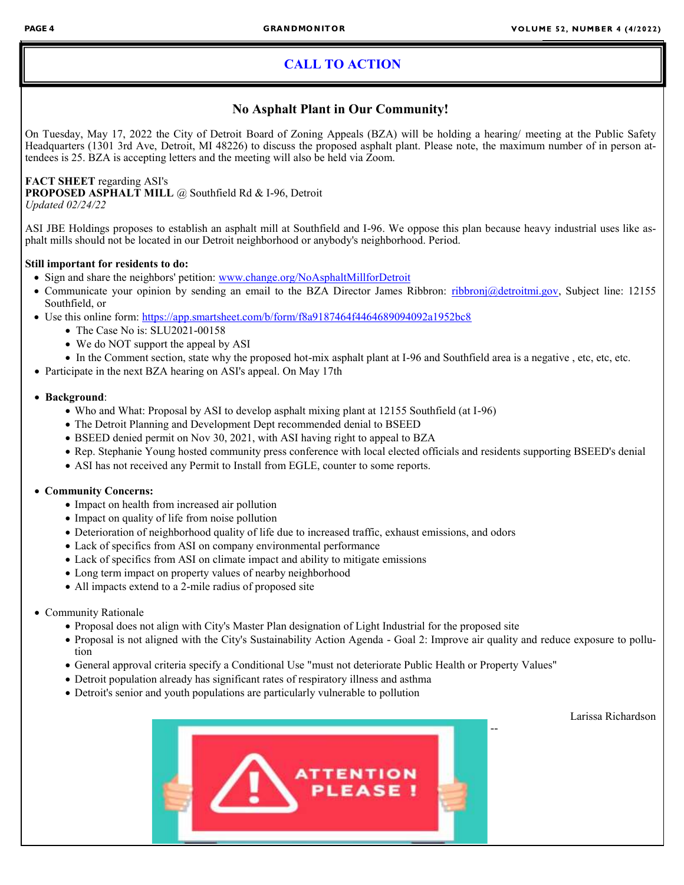### **CALL TO ACTION**

#### **No Asphalt Plant in Our Community!**

On Tuesday, May 17, 2022 the City of Detroit Board of Zoning Appeals (BZA) will be holding a hearing/ meeting at the Public Safety Headquarters (1301 3rd Ave, Detroit, MI 48226) to discuss the proposed asphalt plant. Please note, the maximum number of in person attendees is 25. BZA is accepting letters and the meeting will also be held via Zoom.

#### **FACT SHEET** regarding ASI's

**PROPOSED ASPHALT MILL** @ Southfield Rd & I-96, Detroit *Updated 02/24/22*

ASI JBE Holdings proposes to establish an asphalt mill at Southfield and I-96. We oppose this plan because heavy industrial uses like asphalt mills should not be located in our Detroit neighborhood or anybody's neighborhood. Period.

#### **Still important for residents to do:**

- Sign and share the neighbors' petition: [www.change.org/NoAsphaltMillforDetroit](http://www.change.org/NoAsphaltMillforDetroit)
- Communicate your opinion by sending an email to the BZA Director James Ribbron: [ribbronj@detroitmi.gov,](mailto:ribbronj@detroitmi.gov) Subject line: 12155 Southfield, or
- Use this online form: <https://app.smartsheet.com/b/form/f8a9187464f4464689094092a1952bc8>
	- The Case No is: SLU2021-00158
	- We do NOT support the appeal by ASI
	- In the Comment section, state why the proposed hot-mix asphalt plant at I-96 and Southfield area is a negative , etc, etc, etc.
- Participate in the next BZA hearing on ASI's appeal. On May 17th

#### • **Background**:

- Who and What: Proposal by ASI to develop asphalt mixing plant at 12155 Southfield (at I-96)
- The Detroit Planning and Development Dept recommended denial to BSEED
- BSEED denied permit on Nov 30, 2021, with ASI having right to appeal to BZA
- Rep. Stephanie Young hosted community press conference with local elected officials and residents supporting BSEED's denial
- ASI has not received any Permit to Install from EGLE, counter to some reports.

#### • **Community Concerns:**

- Impact on health from increased air pollution
- Impact on quality of life from noise pollution
- Deterioration of neighborhood quality of life due to increased traffic, exhaust emissions, and odors
- Lack of specifics from ASI on company environmental performance
- Lack of specifics from ASI on climate impact and ability to mitigate emissions
- Long term impact on property values of nearby neighborhood
- All impacts extend to a 2-mile radius of proposed site

#### • Community Rationale

- Proposal does not align with City's Master Plan designation of Light Industrial for the proposed site
- Proposal is not aligned with the City's Sustainability Action Agenda Goal 2: Improve air quality and reduce exposure to pollution
- General approval criteria specify a Conditional Use "must not deteriorate Public Health or Property Values"
- Detroit population already has significant rates of respiratory illness and asthma
- Detroit's senior and youth populations are particularly vulnerable to pollution

Larissa Richardson

--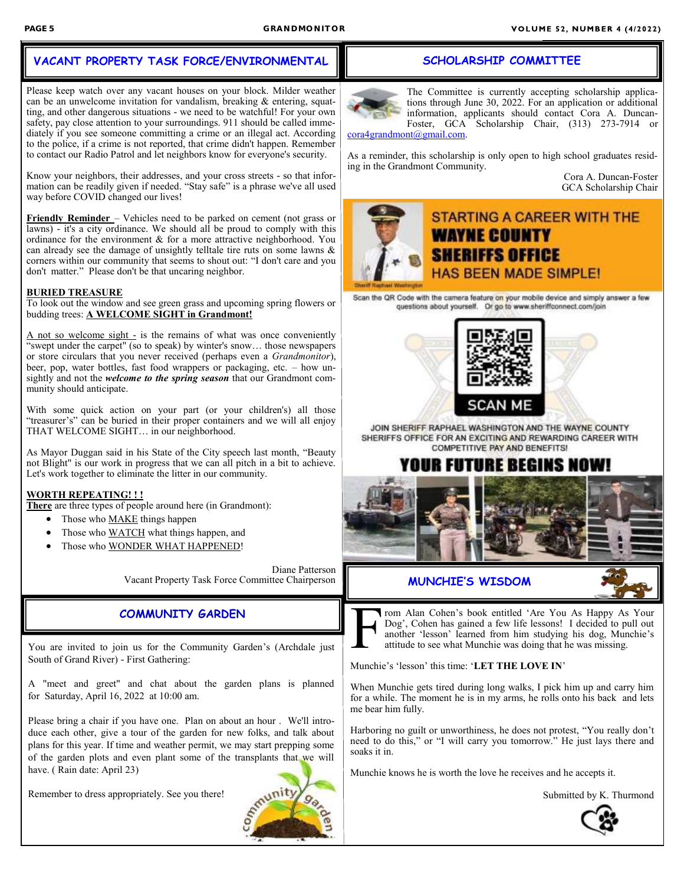#### **VACANT PROPERTY TASK FORCE/ENVIRONMENTAL**

Please keep watch over any vacant houses on your block. Milder weather can be an unwelcome invitation for vandalism, breaking & entering, squatting, and other dangerous situations - we need to be watchful! For your own safety, pay close attention to your surroundings. 911 should be called immediately if you see someone committing a crime or an illegal act. According to the police, if a crime is not reported, that crime didn't happen. Remember to contact our Radio Patrol and let neighbors know for everyone's security.

Know your neighbors, their addresses, and your cross streets - so that information can be readily given if needed. "Stay safe" is a phrase we've all used way before COVID changed our lives!

**Friendly Reminder** – Vehicles need to be parked on cement (not grass or lawns) - it's a city ordinance. We should all be proud to comply with this ordinance for the environment & for a more attractive neighborhood. You can already see the damage of unsightly telltale tire ruts on some lawns & corners within our community that seems to shout out: "I don't care and you don't matter." Please don't be that uncaring neighbor.

#### **BURIED TREASURE**

To look out the window and see green grass and upcoming spring flowers or budding trees: **A WELCOME SIGHT in Grandmont!**

A not so welcome sight - is the remains of what was once conveniently "swept under the carpet" (so to speak) by winter's snow… those newspapers or store circulars that you never received (perhaps even a *Grandmonitor*), beer, pop, water bottles, fast food wrappers or packaging, etc. – how unsightly and not the *welcome to the spring season* that our Grandmont community should anticipate.

With some quick action on your part (or your children's) all those "treasurer's" can be buried in their proper containers and we will all enjoy THAT WELCOME SIGHT… in our neighborhood.

As Mayor Duggan said in his State of the City speech last month, "Beauty not Blight" is our work in progress that we can all pitch in a bit to achieve. Let's work together to eliminate the litter in our community.

#### **WORTH REPEATING! ! !**

**There** are three types of people around here (in Grandmont):

- Those who MAKE things happen
- Those who WATCH what things happen, and
- Those who WONDER WHAT HAPPENED!

Diane Patterson Vacant Property Task Force Committee Chairperson

#### **COMMUNITY GARDEN**

You are invited to join us for the Community Garden's (Archdale just South of Grand River) - First Gathering:

A "meet and greet" and chat about the garden plans is planned for Saturday, April 16, 2022 at 10:00 am.

Please bring a chair if you have one. Plan on about an hour . We'll introduce each other, give a tour of the garden for new folks, and talk about plans for this year. If time and weather permit, we may start prepping some of the garden plots and even plant some of the transplants that we will have. ( Rain date: April 23)

Remember to dress appropriately. See you there!



#### **SCHOLARSHIP COMMITTEE**

The Committee is currently accepting scholarship applications through June 30, 2022. For an application or additional information, applicants should contact Cora A. Duncan-Foster, GCA Scholarship Chair, (313) 273-7914 or

[cora4grandmont@gmail.com.](mailto:cora4grandmont@gmail.com) 

As a reminder, this scholarship is only open to high school graduates residing in the Grandmont Community.

Cora A. Duncan-Foster GCA Scholarship Chair

### **STARTING A CAREER WITH THE WAYNE COUNTY SHERIFFS OFFICE HAS BEEN MADE SIMPLE!**

Scan the QR Code with the camera feature on your mobile device and simply answer a few questions about yourself. Or go to www.sheriffconnect.com/join



JOIN SHERIFF RAPHAEL WASHINGTON AND THE WAYNE COUNTY SHERIFFS OFFICE FOR AN EXCITING AND REWARDING CAREER WITH **COMPETITIVE PAY AND BENEFITS!** 

## IR FUTURE BEGINS I



#### **MUNCHIE'S WISDOM**



rom Alan Cohen's book entitled 'Are You As Happy As Your Dog', Cohen has gained a few life lessons! I decided to pull out another 'lesson' learned from him studying his dog, Munchie's attitude to see what Munchie was doing that he was missing.

Munchie's 'lesson' this time: '**LET THE LOVE IN**'

When Munchie gets tired during long walks, I pick him up and carry him for a while. The moment he is in my arms, he rolls onto his back and lets me bear him fully.

Harboring no guilt or unworthiness, he does not protest, "You really don't need to do this," or "I will carry you tomorrow." He just lays there and soaks it in.

Munchie knows he is worth the love he receives and he accepts it.

Submitted by K. Thurmond

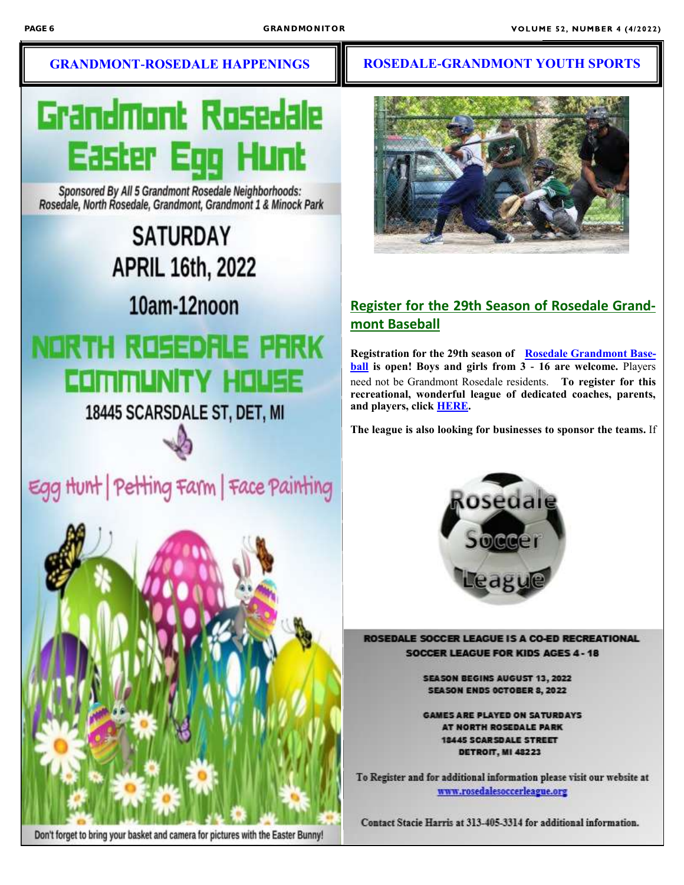# Grandmont Rosedale Easter Egg Hi

Sponsored By All 5 Grandmont Rosedale Neighborhoods: Rosedale, North Rosedale, Grandmont, Grandmont 1 & Minock Park

> **SATURDAY APRIL 16th, 2022**

> > 10am-12noon

## NORTH ROSEDALE PRRK COMMUNITY HOUSE

18445 SCARSDALE ST, DET, MI





Don't forget to bring your basket and camera for pictures with the Easter Bunny!

### **GRANDMONT-ROSEDALE HAPPENINGS HE ROSEDALE-GRANDMONT YOUTH SPORTS**



### **Register for the 29th Season of Rosedale Grandmont Baseball**

**Registration for the 29th season of [Rosedale Grandmont Base](https://grandmontrosedale.us8.list-manage.com/track/click?u=54e9c34bda9ad87da62d1aeb6&id=fc6ce64a91&e=e93ce55706)[ball](https://grandmontrosedale.us8.list-manage.com/track/click?u=54e9c34bda9ad87da62d1aeb6&id=fc6ce64a91&e=e93ce55706) is open! Boys and girls from 3 - 16 are welcome.** Players need not be Grandmont Rosedale residents. **To register for this recreational, wonderful league of dedicated coaches, parents, and players, click [HERE.](https://grandmontrosedale.us8.list-manage.com/track/click?u=54e9c34bda9ad87da62d1aeb6&id=2ed7b8eaf1&e=e93ce55706)**

**The league is also looking for businesses to sponsor the teams.** If



ROSEDALE SOCCER LEAGUE IS A CO-ED RECREATIONAL **SOCCER LEAGUE FOR KIDS AGES 4 - 18** 

> **SEASON BEGINS AUGUST 13, 2022 SEASON ENDS OCTOBER 8, 2022**

**GAMES ARE PLAYED ON SATURDAYS** AT NORTH ROSEDALE PARK **18445 SCARSDALE STREET DETROIT, MI 48223** 

To Register and for additional information please visit our website at www.rosedalesoccerleague.org

Contact Stacie Harris at 313-405-3314 for additional information.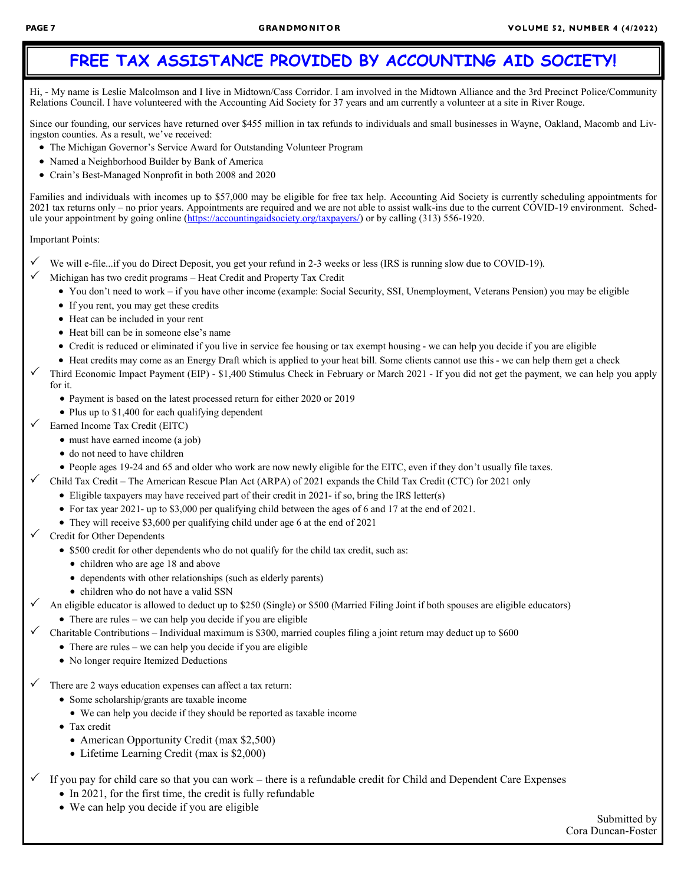## **FREE TAX ASSISTANCE PROVIDED BY ACCOUNTING AID SOCIETY!**

Hi, - My name is Leslie Malcolmson and I live in Midtown/Cass Corridor. I am involved in the Midtown Alliance and the 3rd Precinct Police/Community Relations Council. I have volunteered with the Accounting Aid Society for 37 years and am currently a volunteer at a site in River Rouge.

Since our founding, our services have returned over \$455 million in tax refunds to individuals and small businesses in Wayne, Oakland, Macomb and Livingston counties. As a result, we've received:

- The Michigan Governor's Service Award for Outstanding Volunteer Program
- Named a Neighborhood Builder by Bank of America
- Crain's Best-Managed Nonprofit in both 2008 and 2020

Families and individuals with incomes up to \$57,000 may be eligible for free tax help. Accounting Aid Society is currently scheduling appointments for 2021 tax returns only – no prior years. Appointments are required and we are not able to assist walk-ins due to the current COVID-19 environment. Schedule your appointment by going online ([https://accountingaidsociety.org/taxpayers/\)](https://accountingaidsociety.org/taxpayers/) or by calling (313) 556-1920.

#### Important Points:

- We will e-file...if you do Direct Deposit, you get your refund in 2-3 weeks or less (IRS is running slow due to COVID-19).
- Michigan has two credit programs Heat Credit and Property Tax Credit
	- You don't need to work if you have other income (example: Social Security, SSI, Unemployment, Veterans Pension) you may be eligible
	- If you rent, you may get these credits
	- Heat can be included in your rent
	- Heat bill can be in someone else's name
	- Credit is reduced or eliminated if you live in service fee housing or tax exempt housing we can help you decide if you are eligible
	- Heat credits may come as an Energy Draft which is applied to your heat bill. Some clients cannot use this we can help them get a check
- Third Economic Impact Payment (EIP) \$1,400 Stimulus Check in February or March 2021 If you did not get the payment, we can help you apply for it.
	- Payment is based on the latest processed return for either 2020 or 2019
	- Plus up to \$1,400 for each qualifying dependent
- Earned Income Tax Credit (EITC)
	- must have earned income (a job)
	- do not need to have children
	- People ages 19-24 and 65 and older who work are now newly eligible for the EITC, even if they don't usually file taxes.
- $\checkmark$  Child Tax Credit The American Rescue Plan Act (ARPA) of 2021 expands the Child Tax Credit (CTC) for 2021 only
	- Eligible taxpayers may have received part of their credit in 2021- if so, bring the IRS letter(s)
	- For tax year 2021- up to \$3,000 per qualifying child between the ages of 6 and 17 at the end of 2021.
	- They will receive \$3,600 per qualifying child under age 6 at the end of 2021
- Credit for Other Dependents
	- \$500 credit for other dependents who do not qualify for the child tax credit, such as:
		- children who are age 18 and above
		- dependents with other relationships (such as elderly parents)
		- children who do not have a valid SSN
	- An eligible educator is allowed to deduct up to \$250 (Single) or \$500 (Married Filing Joint if both spouses are eligible educators)
		- There are rules we can help you decide if you are eligible
- Charitable Contributions Individual maximum is \$300, married couples filing a joint return may deduct up to \$600
	- There are rules we can help you decide if you are eligible
	- No longer require Itemized Deductions
- There are 2 ways education expenses can affect a tax return:
	- Some scholarship/grants are taxable income
		- We can help you decide if they should be reported as taxable income
	- Tax credit
		- American Opportunity Credit (max \$2,500)
		- Lifetime Learning Credit (max is \$2,000)
- If you pay for child care so that you can work there is a refundable credit for Child and Dependent Care Expenses
	- In 2021, for the first time, the credit is fully refundable
	- We can help you decide if you are eligible

Submitted by Cora Duncan-Foster

 $\overline{a}$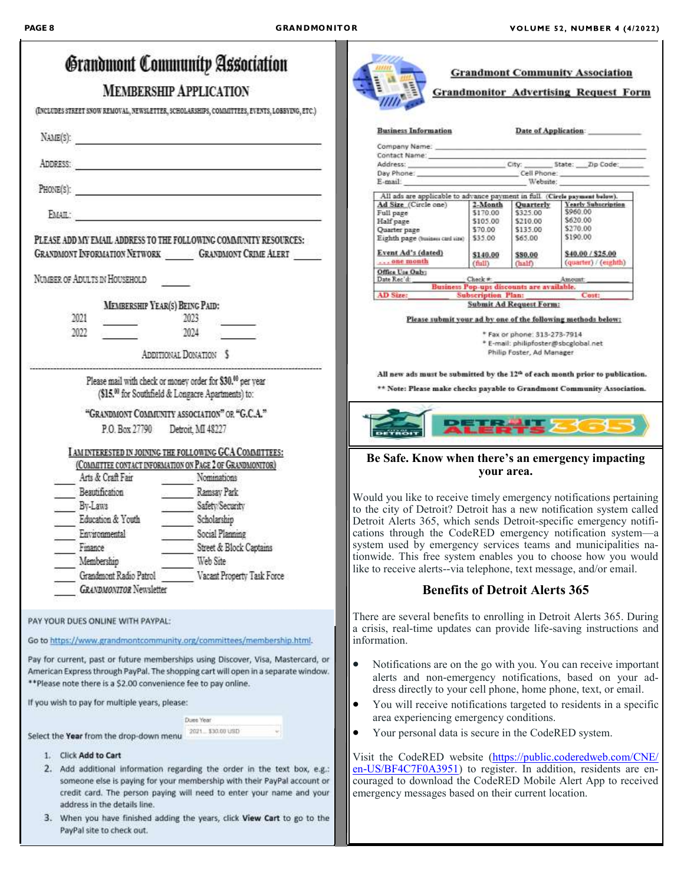|                                                                        |                                                                | Grandmont Community Association                                                                                                                                                                                                                                                                         |           |                                                     |  |                      |                                       | <b>Grandmont Community Association</b>                                                                                                                                                            |  |
|------------------------------------------------------------------------|----------------------------------------------------------------|---------------------------------------------------------------------------------------------------------------------------------------------------------------------------------------------------------------------------------------------------------------------------------------------------------|-----------|-----------------------------------------------------|--|----------------------|---------------------------------------|---------------------------------------------------------------------------------------------------------------------------------------------------------------------------------------------------|--|
|                                                                        |                                                                | <b>MEMBERSHIP APPLICATION</b>                                                                                                                                                                                                                                                                           |           |                                                     |  |                      |                                       | <b>Grandmonitor Advertising Request Form</b>                                                                                                                                                      |  |
|                                                                        |                                                                | (INCLUDES STREET SNOW REMOVAL, NEWSLETTER, SCHOLARSHIPS, COMMITTEES, EVENTS, LOBBYING, ETC.)                                                                                                                                                                                                            |           |                                                     |  |                      |                                       |                                                                                                                                                                                                   |  |
| NAME(S):<br><u> 1989 - Johann Barbara, martxa alemaniar populari (</u> |                                                                |                                                                                                                                                                                                                                                                                                         |           | <b>Business Information</b>                         |  |                      |                                       | Date of Application:                                                                                                                                                                              |  |
|                                                                        |                                                                |                                                                                                                                                                                                                                                                                                         |           |                                                     |  |                      |                                       |                                                                                                                                                                                                   |  |
|                                                                        |                                                                |                                                                                                                                                                                                                                                                                                         |           |                                                     |  |                      |                                       | Day Phone: ______________________________Cell Phone: ____________________________<br>E-mail: Website:                                                                                             |  |
|                                                                        |                                                                | PHONE(S):                                                                                                                                                                                                                                                                                               |           | Ad Size (Circle one)                                |  |                      | 2-Month Quarterly                     | All ads are applicable to advance payment in full. (Circle payment below).<br>Yearly Subscription                                                                                                 |  |
|                                                                        |                                                                |                                                                                                                                                                                                                                                                                                         |           | Full page<br>Half page                              |  | \$170.00<br>\$105.00 | \$325.00<br>\$210.00                  | \$960.00<br>\$620.00<br>\$270.00                                                                                                                                                                  |  |
|                                                                        |                                                                | PLEASE ADD MY EMAIL ADDRESS TO THE FOLLOWING COMMUNITY RESOURCES:                                                                                                                                                                                                                                       |           | Quarter page<br>Eighth page (business card size)    |  | \$70.00<br>\$35.00   | \$135.00<br>\$65.00                   | \$190.00                                                                                                                                                                                          |  |
|                                                                        |                                                                | GRANDMONT INFORMATION NETWORK GRANDMONT CRIME ALERT                                                                                                                                                                                                                                                     |           | Event Ad's (dated)<br>one month                     |  | \$140.00<br>(full)   | \$80.00<br>(half)                     | \$40.00 / \$25.00<br>(quarter) / (eighth)                                                                                                                                                         |  |
|                                                                        | NUMBER OF ADULTS IN HOUSEHOLD                                  |                                                                                                                                                                                                                                                                                                         |           | Office Use Only:<br>Date Rec'd:                     |  |                      | Check * Amount Amount                 |                                                                                                                                                                                                   |  |
|                                                                        |                                                                |                                                                                                                                                                                                                                                                                                         |           | <b>AD Size:</b>                                     |  |                      | <b>Subscription Plan:</b>             | Cost:                                                                                                                                                                                             |  |
|                                                                        | MEMBERSHIP YEAR(S) BEING PAID:                                 |                                                                                                                                                                                                                                                                                                         |           |                                                     |  |                      | <b>Submit Ad Request Form:</b>        |                                                                                                                                                                                                   |  |
|                                                                        | 2021                                                           | 2023                                                                                                                                                                                                                                                                                                    |           |                                                     |  |                      |                                       | Please submit your ad by one of the following methods below:                                                                                                                                      |  |
|                                                                        | 2022                                                           | 2024                                                                                                                                                                                                                                                                                                    |           |                                                     |  |                      | * Fax or phone: 313-273-7914          | * E-mail: philipfoster@sbcglobal.net                                                                                                                                                              |  |
|                                                                        |                                                                | ADDITIONAL DONATION \$                                                                                                                                                                                                                                                                                  |           |                                                     |  |                      | Philip Foster, Ad Manager             |                                                                                                                                                                                                   |  |
|                                                                        |                                                                | Please mail with check or money order for \$30. <sup>00</sup> per year                                                                                                                                                                                                                                  |           |                                                     |  |                      |                                       | All new ads must be submitted by the 12 <sup>th</sup> of each month prior to publication.                                                                                                         |  |
|                                                                        |                                                                | (\$15.00 for Southfield & Longacre Apartments) to:                                                                                                                                                                                                                                                      |           |                                                     |  |                      |                                       | ** Note: Please make checks payable to Grandmont Community Association.                                                                                                                           |  |
|                                                                        |                                                                | "GRANDMONT COMMUNITY ASSOCIATION" OR "G.C.A."                                                                                                                                                                                                                                                           |           |                                                     |  |                      |                                       |                                                                                                                                                                                                   |  |
|                                                                        | P.O. Box 27790 Detroit, MI 48227                               |                                                                                                                                                                                                                                                                                                         |           |                                                     |  |                      |                                       | <b>XTERTE 361</b>                                                                                                                                                                                 |  |
|                                                                        |                                                                | AM INTERESTED IN JOINING THE FOLLOWING GCA COMMITTEES:                                                                                                                                                                                                                                                  |           |                                                     |  |                      |                                       |                                                                                                                                                                                                   |  |
|                                                                        |                                                                |                                                                                                                                                                                                                                                                                                         |           |                                                     |  |                      |                                       |                                                                                                                                                                                                   |  |
|                                                                        |                                                                | (COMMITTEE CONTACT INFORMATION ON PAGE 2 OF GRANDMONTIOR)                                                                                                                                                                                                                                               |           |                                                     |  |                      |                                       | Be Safe. Know when there's an emergency impacting                                                                                                                                                 |  |
|                                                                        | Arts & Craft Fair                                              | Nominations                                                                                                                                                                                                                                                                                             |           |                                                     |  | vour area.           |                                       |                                                                                                                                                                                                   |  |
|                                                                        | Beautification                                                 | Ramsay Park                                                                                                                                                                                                                                                                                             |           |                                                     |  |                      |                                       |                                                                                                                                                                                                   |  |
|                                                                        | By-Laws                                                        | Safety Security                                                                                                                                                                                                                                                                                         |           |                                                     |  |                      |                                       | Would you like to receive timely emergency notifications pertaining                                                                                                                               |  |
|                                                                        | Education & Youth                                              | Scholarship                                                                                                                                                                                                                                                                                             |           |                                                     |  |                      |                                       | to the city of Detroit? Detroit has a new notification system called<br>Detroit Alerts 365, which sends Detroit-specific emergency notifi-                                                        |  |
|                                                                        | Environmental                                                  | Social Planning                                                                                                                                                                                                                                                                                         |           |                                                     |  |                      |                                       | cations through the CodeRED emergency notification system-a                                                                                                                                       |  |
|                                                                        | Finance                                                        | Street & Block Captains                                                                                                                                                                                                                                                                                 |           |                                                     |  |                      |                                       | system used by emergency services teams and municipalities na-                                                                                                                                    |  |
|                                                                        | Membership                                                     | Web Site                                                                                                                                                                                                                                                                                                |           |                                                     |  |                      |                                       | tionwide. This free system enables you to choose how you would                                                                                                                                    |  |
|                                                                        | Grandmont Radio Patrol                                         | Vacant Property Task Force                                                                                                                                                                                                                                                                              |           |                                                     |  |                      |                                       | like to receive alerts--via telephone, text message, and/or email.                                                                                                                                |  |
|                                                                        | <b>GRANDMONITOR</b> Newsletter                                 |                                                                                                                                                                                                                                                                                                         |           |                                                     |  |                      | <b>Benefits of Detroit Alerts 365</b> |                                                                                                                                                                                                   |  |
|                                                                        | PAY YOUR DUES ONLINE WITH PAYPAL:                              | Go to https://www.grandmontcommunity.org/committees/membership.html.                                                                                                                                                                                                                                    |           | information.                                        |  |                      |                                       | There are several benefits to enrolling in Detroit Alerts 365. During<br>a crisis, real-time updates can provide life-saving instructions and                                                     |  |
|                                                                        | **Please note there is a \$2.00 convenience fee to pay online. | Pay for current, past or future memberships using Discover, Visa, Mastercard, or<br>American Express through PayPal. The shopping cart will open in a separate window.                                                                                                                                  | $\bullet$ |                                                     |  |                      |                                       | Notifications are on the go with you. You can receive important<br>alerts and non-emergency notifications, based on your ad-                                                                      |  |
|                                                                        | If you wish to pay for multiple years, please:                 |                                                                                                                                                                                                                                                                                                         | $\bullet$ |                                                     |  |                      |                                       | dress directly to your cell phone, home phone, text, or email.<br>You will receive notifications targeted to residents in a specific                                                              |  |
|                                                                        |                                                                | Dues Year                                                                                                                                                                                                                                                                                               |           | area experiencing emergency conditions.             |  |                      |                                       |                                                                                                                                                                                                   |  |
|                                                                        | Select the Year from the drop-down menu                        | 2021 \$30.00 USD                                                                                                                                                                                                                                                                                        | $\bullet$ | Your personal data is secure in the CodeRED system. |  |                      |                                       |                                                                                                                                                                                                   |  |
|                                                                        | <b>Click Add to Cart</b>                                       |                                                                                                                                                                                                                                                                                                         |           |                                                     |  |                      |                                       |                                                                                                                                                                                                   |  |
|                                                                        | address in the details line.                                   | 2. Add additional information regarding the order in the text box, e.g.:<br>someone else is paying for your membership with their PayPal account or<br>credit card. The person paying will need to enter your name and your<br>3. When you have finished adding the years, click View Cart to go to the |           | emergency messages based on their current location. |  |                      |                                       | Visit the CodeRED website (https://public.coderedweb.com/CNE/<br>en-US/BF4C7F0A3951) to register. In addition, residents are en-<br>couraged to download the CodeRED Mobile Alert App to received |  |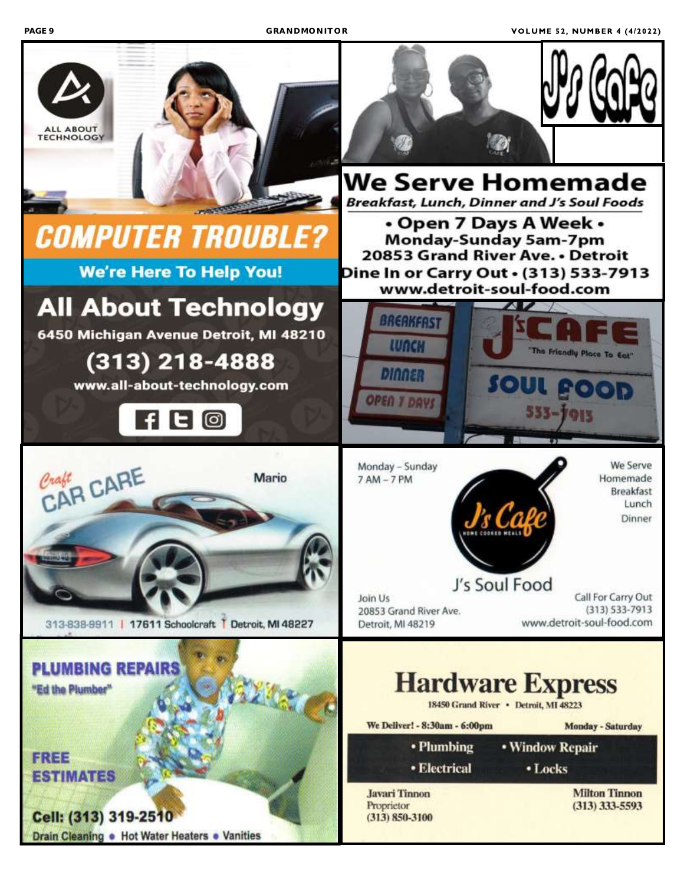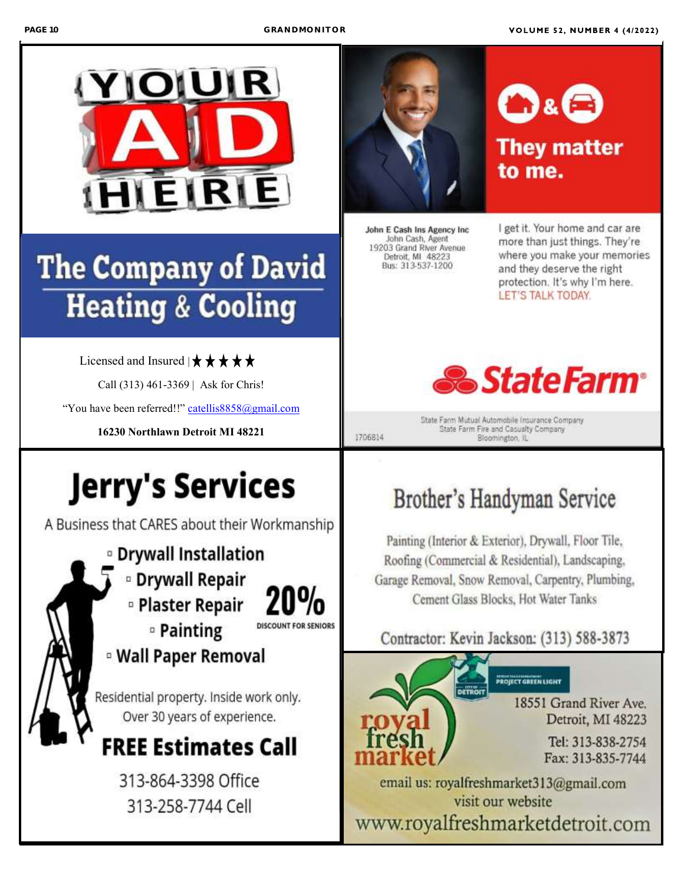

## **The Company of David Heating & Cooling**

Licensed and Insured  $|\star \star \star \star \star \star$ 

Call (313) 461-3369 | Ask for Chris!

"You have been referred!!" [catellis8858@gmail.com](mailto:catellis8858@gmail.com)

**16230 Northlawn Detroit MI 48221**

## **Jerry's Services**

A Business that CARES about their Workmanship





John E Cash Ins Agency Inc John Cash, Agent 19203 Grand River Avenue Detroit, MI 48223 Bus: 313-537-1200

1706814

I get it. Your home and car are more than just things. They're where you make your memories and they deserve the right protection. It's why I'm here. **LET'S TALK TODAY.** 



**D&E** 

to me.

**They matter** 

State Farm Mutual Automobile Insurance Company State Farm Fire and Casualty Company Bloomington, IL

## Brother's Handyman Service

Painting (Interior & Exterior), Drywall, Floor Tile, Roofing (Commercial & Residential), Landscaping, Garage Removal, Snow Removal, Carpentry, Plumbing, Cement Glass Blocks, Hot Water Tanks

## Contractor: Kevin Jackson: (313) 588-3873



PROJECT GREEN LIGHT

18551 Grand River Ave. Detroit, MI 48223

> Tel: 313-838-2754 Fax: 313-835-7744

email us: royalfreshmarket313@gmail.com visit our website www.royalfreshmarketdetroit.com